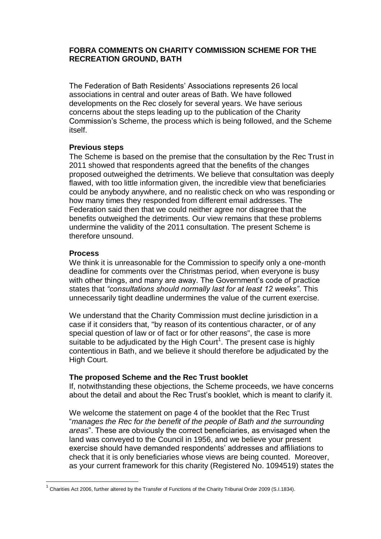## **FOBRA COMMENTS ON CHARITY COMMISSION SCHEME FOR THE RECREATION GROUND, BATH**

The Federation of Bath Residents' Associations represents 26 local associations in central and outer areas of Bath. We have followed developments on the Rec closely for several years. We have serious concerns about the steps leading up to the publication of the Charity Commission's Scheme, the process which is being followed, and the Scheme itself.

### **Previous steps**

The Scheme is based on the premise that the consultation by the Rec Trust in 2011 showed that respondents agreed that the benefits of the changes proposed outweighed the detriments. We believe that consultation was deeply flawed, with too little information given, the incredible view that beneficiaries could be anybody anywhere, and no realistic check on who was responding or how many times they responded from different email addresses. The Federation said then that we could neither agree nor disagree that the benefits outweighed the detriments. Our view remains that these problems undermine the validity of the 2011 consultation. The present Scheme is therefore unsound.

### **Process**

**.** 

We think it is unreasonable for the Commission to specify only a one-month deadline for comments over the Christmas period, when everyone is busy with other things, and many are away. The Government's code of practice states that *"consultations should normally last for at least 12 weeks"*. This unnecessarily tight deadline undermines the value of the current exercise.

We understand that the Charity Commission must decline jurisdiction in a case if it considers that, "by reason of its contentious character, or of any special question of law or of fact or for other reasons", the case is more suitable to be adjudicated by the High Court<sup>1</sup>. The present case is highly contentious in Bath, and we believe it should therefore be adjudicated by the High Court.

# **The proposed Scheme and the Rec Trust booklet**

If, notwithstanding these objections, the Scheme proceeds, we have concerns about the detail and about the Rec Trust's booklet, which is meant to clarify it.

We welcome the statement on page 4 of the booklet that the Rec Trust "*manages the Rec for the benefit of the people of Bath and the surrounding areas*". These are obviously the correct beneficiaries, as envisaged when the land was conveyed to the Council in 1956, and we believe your present exercise should have demanded respondents' addresses and affiliations to check that it is only beneficiaries whose views are being counted. Moreover, as your current framework for this charity (Registered No. 1094519) states the

 $^{\rm 1}$  Charities Act 2006, further altered by the Transfer of Functions of the Charity Tribunal Order 2009 (S.I.1834).